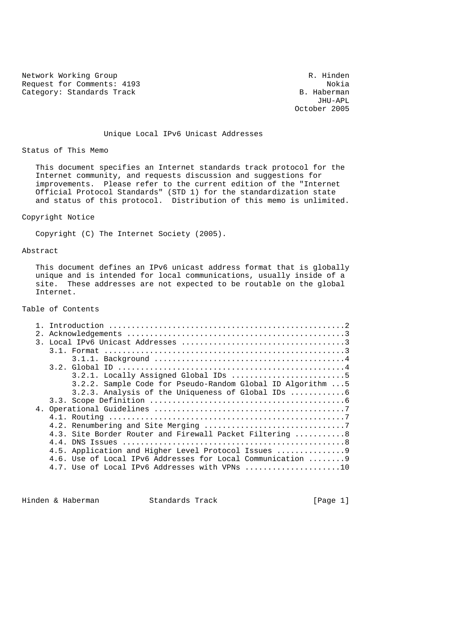Network Working Group **R. Hinden** Request for Comments: 4193<br>Category: Standards Track and Solid Research Mokia B. Haberman Category: Standards Track B. Haberman B. Haberman B. Haberman

 JHU-APL October 2005

Unique Local IPv6 Unicast Addresses

Status of This Memo

 This document specifies an Internet standards track protocol for the Internet community, and requests discussion and suggestions for improvements. Please refer to the current edition of the "Internet Official Protocol Standards" (STD 1) for the standardization state and status of this protocol. Distribution of this memo is unlimited.

## Copyright Notice

Copyright (C) The Internet Society (2005).

#### Abstract

 This document defines an IPv6 unicast address format that is globally unique and is intended for local communications, usually inside of a site. These addresses are not expected to be routable on the global Internet.

# Table of Contents

| 2. |                                                                                 |
|----|---------------------------------------------------------------------------------|
|    |                                                                                 |
|    |                                                                                 |
|    |                                                                                 |
|    |                                                                                 |
|    |                                                                                 |
|    | 3.2.2. Sample Code for Pseudo-Random Global ID Algorithm  5                     |
|    |                                                                                 |
|    |                                                                                 |
|    |                                                                                 |
|    |                                                                                 |
|    |                                                                                 |
|    | 4.3. Site Border Router and Firewall Packet Filtering 8                         |
|    |                                                                                 |
|    | 4.5. Application and Higher Level Protocol Issues 9                             |
|    | 4.6. Use of Local IPv6 Addresses for Local Communication  9                     |
|    | 4.7. Use of Local IPv6 Addresses with VPNs $\ldots, \ldots, \ldots, \ldots, 10$ |
|    |                                                                                 |

Hinden & Haberman Standards Track [Page 1]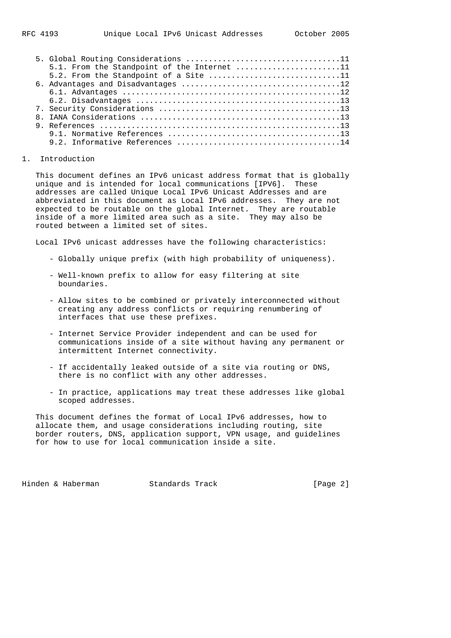|  | 5.1. From the Standpoint of the Internet 11 |
|--|---------------------------------------------|
|  | 5.2. From the Standpoint of a Site 11       |
|  |                                             |
|  |                                             |
|  |                                             |
|  |                                             |
|  |                                             |
|  |                                             |
|  |                                             |
|  |                                             |

#### 1. Introduction

 This document defines an IPv6 unicast address format that is globally unique and is intended for local communications [IPV6]. These addresses are called Unique Local IPv6 Unicast Addresses and are abbreviated in this document as Local IPv6 addresses. They are not expected to be routable on the global Internet. They are routable inside of a more limited area such as a site. They may also be routed between a limited set of sites.

Local IPv6 unicast addresses have the following characteristics:

- Globally unique prefix (with high probability of uniqueness).
- Well-known prefix to allow for easy filtering at site boundaries.
- Allow sites to be combined or privately interconnected without creating any address conflicts or requiring renumbering of interfaces that use these prefixes.
- Internet Service Provider independent and can be used for communications inside of a site without having any permanent or intermittent Internet connectivity.
- If accidentally leaked outside of a site via routing or DNS, there is no conflict with any other addresses.
- In practice, applications may treat these addresses like global scoped addresses.

 This document defines the format of Local IPv6 addresses, how to allocate them, and usage considerations including routing, site border routers, DNS, application support, VPN usage, and guidelines for how to use for local communication inside a site.

Hinden & Haberman Standards Track [Page 2]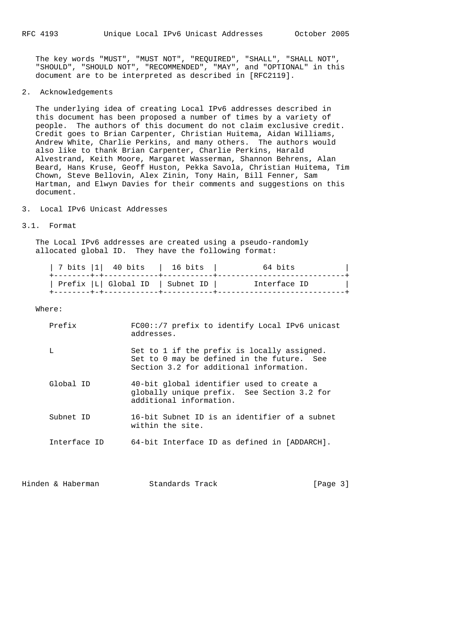The key words "MUST", "MUST NOT", "REQUIRED", "SHALL", "SHALL NOT", "SHOULD", "SHOULD NOT", "RECOMMENDED", "MAY", and "OPTIONAL" in this document are to be interpreted as described in [RFC2119].

2. Acknowledgements

 The underlying idea of creating Local IPv6 addresses described in this document has been proposed a number of times by a variety of people. The authors of this document do not claim exclusive credit. Credit goes to Brian Carpenter, Christian Huitema, Aidan Williams, Andrew White, Charlie Perkins, and many others. The authors would also like to thank Brian Carpenter, Charlie Perkins, Harald Alvestrand, Keith Moore, Margaret Wasserman, Shannon Behrens, Alan Beard, Hans Kruse, Geoff Huston, Pekka Savola, Christian Huitema, Tim Chown, Steve Bellovin, Alex Zinin, Tony Hain, Bill Fenner, Sam Hartman, and Elwyn Davies for their comments and suggestions on this document.

3. Local IPv6 Unicast Addresses

#### 3.1. Format

 The Local IPv6 addresses are created using a pseudo-randomly allocated global ID. They have the following format:

| 7 bits  1  40 bits               | 16 bits | 64 bits      |
|----------------------------------|---------|--------------|
| Prefix  L  Global ID   Subnet ID |         | Interface ID |
|                                  |         |              |

#### Where:

| Prefix       | FC00::/7 prefix to identify Local IPv6 unicast<br>addresses.                                                                         |
|--------------|--------------------------------------------------------------------------------------------------------------------------------------|
| L            | Set to 1 if the prefix is locally assigned.<br>Set to 0 may be defined in the future. See<br>Section 3.2 for additional information. |
| Global ID    | 40-bit global identifier used to create a<br>globally unique prefix. See Section 3.2 for<br>additional information.                  |
| Subnet ID    | 16-bit Subnet ID is an identifier of a subnet<br>within the site.                                                                    |
| Interface ID | 64-bit Interface ID as defined in [ADDARCH].                                                                                         |

Hinden & Haberman Standards Track [Page 3]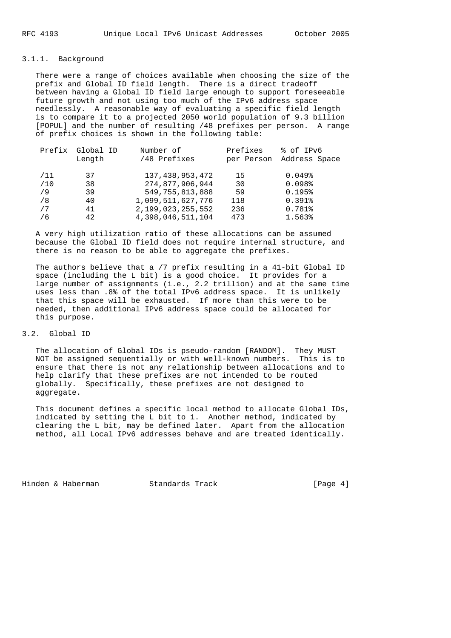## 3.1.1. Background

 There were a range of choices available when choosing the size of the prefix and Global ID field length. There is a direct tradeoff between having a Global ID field large enough to support foreseeable future growth and not using too much of the IPv6 address space needlessly. A reasonable way of evaluating a specific field length is to compare it to a projected 2050 world population of 9.3 billion [POPUL] and the number of resulting /48 prefixes per person. A range of prefix choices is shown in the following table:

| Prefix | Global ID | Number of             | Prefixes   | % of IPv6     |
|--------|-----------|-----------------------|------------|---------------|
|        | Length    | /48 Prefixes          | per Person | Address Space |
| /11    | 37        | 137, 438, 953, 472    | 15         | $0.049$ $%$   |
|        |           |                       |            |               |
| /10    | 38        | 274,877,906,944       | 30         | 0.098         |
| /9     | 39        | 549, 755, 813, 888    | 59         | 0.195%        |
| /8     | 40        | 1,099,511,627,776     | 118        | $0.391$ $%$   |
| 7 /    | 41        | 2, 199, 023, 255, 552 | 236        | 0.781%        |
| / 6    | 42        | 4,398,046,511,104     | 473        | 1.563%        |

 A very high utilization ratio of these allocations can be assumed because the Global ID field does not require internal structure, and there is no reason to be able to aggregate the prefixes.

 The authors believe that a /7 prefix resulting in a 41-bit Global ID space (including the L bit) is a good choice. It provides for a large number of assignments (i.e., 2.2 trillion) and at the same time uses less than .8% of the total IPv6 address space. It is unlikely that this space will be exhausted. If more than this were to be needed, then additional IPv6 address space could be allocated for this purpose.

## 3.2. Global ID

 The allocation of Global IDs is pseudo-random [RANDOM]. They MUST NOT be assigned sequentially or with well-known numbers. This is to ensure that there is not any relationship between allocations and to help clarify that these prefixes are not intended to be routed globally. Specifically, these prefixes are not designed to aggregate.

 This document defines a specific local method to allocate Global IDs, indicated by setting the L bit to 1. Another method, indicated by clearing the L bit, may be defined later. Apart from the allocation method, all Local IPv6 addresses behave and are treated identically.

Hinden & Haberman Standards Track [Page 4]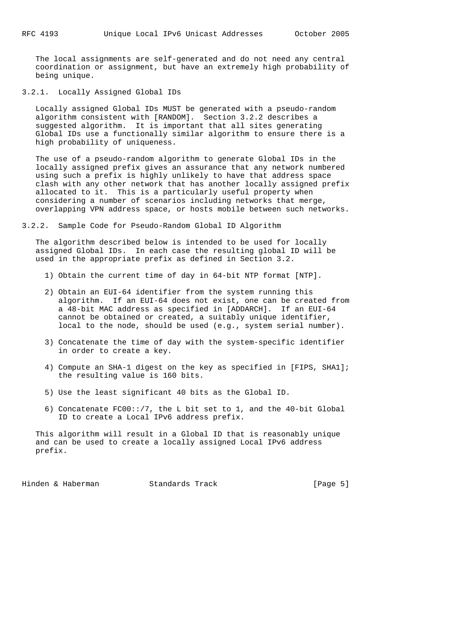The local assignments are self-generated and do not need any central coordination or assignment, but have an extremely high probability of being unique.

3.2.1. Locally Assigned Global IDs

 Locally assigned Global IDs MUST be generated with a pseudo-random algorithm consistent with [RANDOM]. Section 3.2.2 describes a suggested algorithm. It is important that all sites generating Global IDs use a functionally similar algorithm to ensure there is a high probability of uniqueness.

 The use of a pseudo-random algorithm to generate Global IDs in the locally assigned prefix gives an assurance that any network numbered using such a prefix is highly unlikely to have that address space clash with any other network that has another locally assigned prefix allocated to it. This is a particularly useful property when considering a number of scenarios including networks that merge, overlapping VPN address space, or hosts mobile between such networks.

3.2.2. Sample Code for Pseudo-Random Global ID Algorithm

 The algorithm described below is intended to be used for locally assigned Global IDs. In each case the resulting global ID will be used in the appropriate prefix as defined in Section 3.2.

- 1) Obtain the current time of day in 64-bit NTP format [NTP].
- 2) Obtain an EUI-64 identifier from the system running this algorithm. If an EUI-64 does not exist, one can be created from a 48-bit MAC address as specified in [ADDARCH]. If an EUI-64 cannot be obtained or created, a suitably unique identifier, local to the node, should be used (e.g., system serial number).
- 3) Concatenate the time of day with the system-specific identifier in order to create a key.
- 4) Compute an SHA-1 digest on the key as specified in [FIPS, SHA1]; the resulting value is 160 bits.
- 5) Use the least significant 40 bits as the Global ID.
- 6) Concatenate FC00::/7, the L bit set to 1, and the 40-bit Global ID to create a Local IPv6 address prefix.

 This algorithm will result in a Global ID that is reasonably unique and can be used to create a locally assigned Local IPv6 address prefix.

Hinden & Haberman Standards Track [Page 5]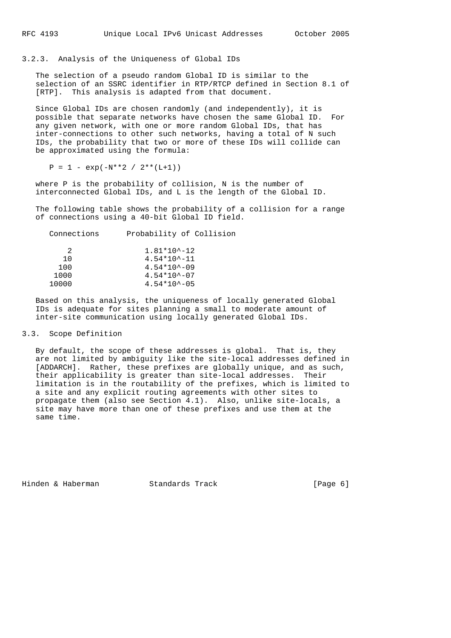3.2.3. Analysis of the Uniqueness of Global IDs

 The selection of a pseudo random Global ID is similar to the selection of an SSRC identifier in RTP/RTCP defined in Section 8.1 of [RTP]. This analysis is adapted from that document.

 Since Global IDs are chosen randomly (and independently), it is possible that separate networks have chosen the same Global ID. For any given network, with one or more random Global IDs, that has inter-connections to other such networks, having a total of N such IDs, the probability that two or more of these IDs will collide can be approximated using the formula:

 $P = 1 - exp(-N^*2 / 2^* (L+1))$ 

 where P is the probability of collision, N is the number of interconnected Global IDs, and L is the length of the Global ID.

 The following table shows the probability of a collision for a range of connections using a 40-bit Global ID field.

| Probability of Collision |
|--------------------------|
| $1.81*10^{\lambda} - 12$ |
| $4.54*10^{\sim}-11$      |
| $4.54*10^{\sim} -09$     |
| $4.54*10^{\sim} - 07$    |
| $4.54*10^{\sim} - 05$    |
|                          |

 Based on this analysis, the uniqueness of locally generated Global IDs is adequate for sites planning a small to moderate amount of inter-site communication using locally generated Global IDs.

# 3.3. Scope Definition

 By default, the scope of these addresses is global. That is, they are not limited by ambiguity like the site-local addresses defined in [ADDARCH]. Rather, these prefixes are globally unique, and as such, their applicability is greater than site-local addresses. Their limitation is in the routability of the prefixes, which is limited to a site and any explicit routing agreements with other sites to propagate them (also see Section 4.1). Also, unlike site-locals, a site may have more than one of these prefixes and use them at the same time.

Hinden & Haberman Standards Track [Page 6]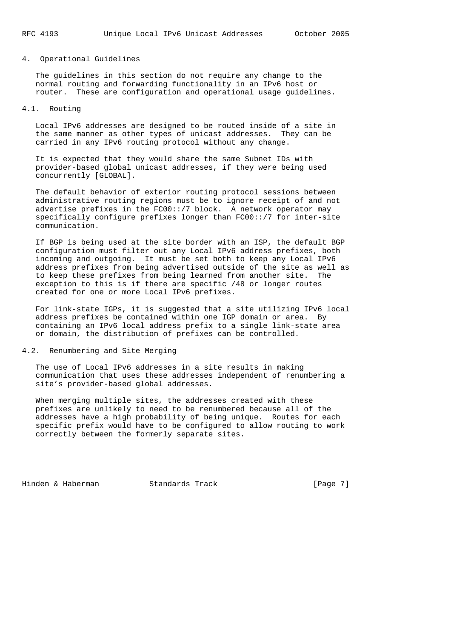## 4. Operational Guidelines

 The guidelines in this section do not require any change to the normal routing and forwarding functionality in an IPv6 host or router. These are configuration and operational usage guidelines.

### 4.1. Routing

 Local IPv6 addresses are designed to be routed inside of a site in the same manner as other types of unicast addresses. They can be carried in any IPv6 routing protocol without any change.

 It is expected that they would share the same Subnet IDs with provider-based global unicast addresses, if they were being used concurrently [GLOBAL].

 The default behavior of exterior routing protocol sessions between administrative routing regions must be to ignore receipt of and not advertise prefixes in the FC00::/7 block. A network operator may specifically configure prefixes longer than FC00::/7 for inter-site communication.

 If BGP is being used at the site border with an ISP, the default BGP configuration must filter out any Local IPv6 address prefixes, both incoming and outgoing. It must be set both to keep any Local IPv6 address prefixes from being advertised outside of the site as well as to keep these prefixes from being learned from another site. The exception to this is if there are specific /48 or longer routes created for one or more Local IPv6 prefixes.

 For link-state IGPs, it is suggested that a site utilizing IPv6 local address prefixes be contained within one IGP domain or area. By containing an IPv6 local address prefix to a single link-state area or domain, the distribution of prefixes can be controlled.

# 4.2. Renumbering and Site Merging

 The use of Local IPv6 addresses in a site results in making communication that uses these addresses independent of renumbering a site's provider-based global addresses.

 When merging multiple sites, the addresses created with these prefixes are unlikely to need to be renumbered because all of the addresses have a high probability of being unique. Routes for each specific prefix would have to be configured to allow routing to work correctly between the formerly separate sites.

Hinden & Haberman Standards Track [Page 7]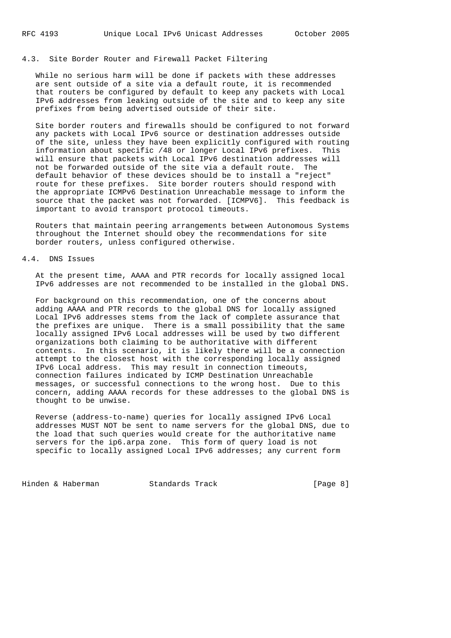## 4.3. Site Border Router and Firewall Packet Filtering

 While no serious harm will be done if packets with these addresses are sent outside of a site via a default route, it is recommended that routers be configured by default to keep any packets with Local IPv6 addresses from leaking outside of the site and to keep any site prefixes from being advertised outside of their site.

 Site border routers and firewalls should be configured to not forward any packets with Local IPv6 source or destination addresses outside of the site, unless they have been explicitly configured with routing information about specific /48 or longer Local IPv6 prefixes. This will ensure that packets with Local IPv6 destination addresses will not be forwarded outside of the site via a default route. The default behavior of these devices should be to install a "reject" route for these prefixes. Site border routers should respond with the appropriate ICMPv6 Destination Unreachable message to inform the source that the packet was not forwarded. [ICMPV6]. This feedback is important to avoid transport protocol timeouts.

 Routers that maintain peering arrangements between Autonomous Systems throughout the Internet should obey the recommendations for site border routers, unless configured otherwise.

# 4.4. DNS Issues

 At the present time, AAAA and PTR records for locally assigned local IPv6 addresses are not recommended to be installed in the global DNS.

 For background on this recommendation, one of the concerns about adding AAAA and PTR records to the global DNS for locally assigned Local IPv6 addresses stems from the lack of complete assurance that the prefixes are unique. There is a small possibility that the same locally assigned IPv6 Local addresses will be used by two different organizations both claiming to be authoritative with different contents. In this scenario, it is likely there will be a connection attempt to the closest host with the corresponding locally assigned IPv6 Local address. This may result in connection timeouts, connection failures indicated by ICMP Destination Unreachable messages, or successful connections to the wrong host. Due to this concern, adding AAAA records for these addresses to the global DNS is thought to be unwise.

 Reverse (address-to-name) queries for locally assigned IPv6 Local addresses MUST NOT be sent to name servers for the global DNS, due to the load that such queries would create for the authoritative name servers for the ip6.arpa zone. This form of query load is not specific to locally assigned Local IPv6 addresses; any current form

Hinden & Haberman Standards Track [Page 8]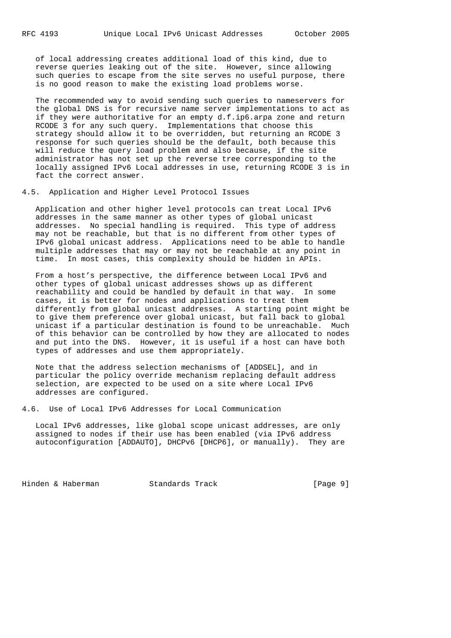of local addressing creates additional load of this kind, due to reverse queries leaking out of the site. However, since allowing such queries to escape from the site serves no useful purpose, there is no good reason to make the existing load problems worse.

 The recommended way to avoid sending such queries to nameservers for the global DNS is for recursive name server implementations to act as if they were authoritative for an empty d.f.ip6.arpa zone and return RCODE 3 for any such query. Implementations that choose this strategy should allow it to be overridden, but returning an RCODE 3 response for such queries should be the default, both because this will reduce the query load problem and also because, if the site administrator has not set up the reverse tree corresponding to the locally assigned IPv6 Local addresses in use, returning RCODE 3 is in fact the correct answer.

### 4.5. Application and Higher Level Protocol Issues

 Application and other higher level protocols can treat Local IPv6 addresses in the same manner as other types of global unicast addresses. No special handling is required. This type of address may not be reachable, but that is no different from other types of IPv6 global unicast address. Applications need to be able to handle multiple addresses that may or may not be reachable at any point in time. In most cases, this complexity should be hidden in APIs.

 From a host's perspective, the difference between Local IPv6 and other types of global unicast addresses shows up as different reachability and could be handled by default in that way. In some cases, it is better for nodes and applications to treat them differently from global unicast addresses. A starting point might be to give them preference over global unicast, but fall back to global unicast if a particular destination is found to be unreachable. Much of this behavior can be controlled by how they are allocated to nodes and put into the DNS. However, it is useful if a host can have both types of addresses and use them appropriately.

 Note that the address selection mechanisms of [ADDSEL], and in particular the policy override mechanism replacing default address selection, are expected to be used on a site where Local IPv6 addresses are configured.

4.6. Use of Local IPv6 Addresses for Local Communication

 Local IPv6 addresses, like global scope unicast addresses, are only assigned to nodes if their use has been enabled (via IPv6 address autoconfiguration [ADDAUTO], DHCPv6 [DHCP6], or manually). They are

Hinden & Haberman Standards Track [Page 9]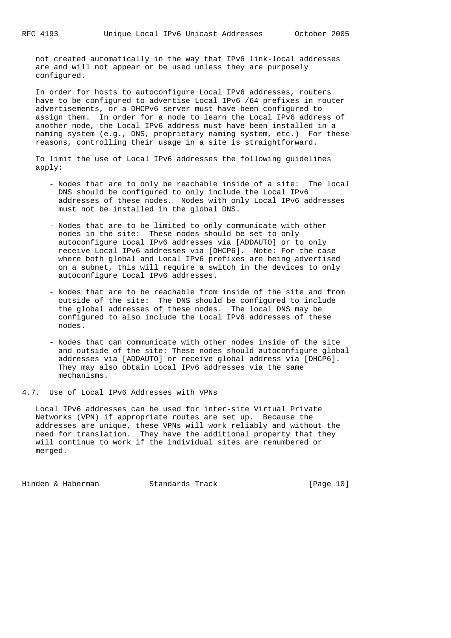not created automatically in the way that IPv6 link-local addresses are and will not appear or be used unless they are purposely configured.

 In order for hosts to autoconfigure Local IPv6 addresses, routers have to be configured to advertise Local IPv6 /64 prefixes in router advertisements, or a DHCPv6 server must have been configured to assign them. In order for a node to learn the Local IPv6 address of another node, the Local IPv6 address must have been installed in a naming system (e.g., DNS, proprietary naming system, etc.) For these reasons, controlling their usage in a site is straightforward.

 To limit the use of Local IPv6 addresses the following guidelines apply:

- Nodes that are to only be reachable inside of a site: The local DNS should be configured to only include the Local IPv6 addresses of these nodes. Nodes with only Local IPv6 addresses must not be installed in the global DNS.
- Nodes that are to be limited to only communicate with other nodes in the site: These nodes should be set to only autoconfigure Local IPv6 addresses via [ADDAUTO] or to only receive Local IPv6 addresses via [DHCP6]. Note: For the case where both global and Local IPv6 prefixes are being advertised on a subnet, this will require a switch in the devices to only autoconfigure Local IPv6 addresses.
	- Nodes that are to be reachable from inside of the site and from outside of the site: The DNS should be configured to include the global addresses of these nodes. The local DNS may be configured to also include the Local IPv6 addresses of these nodes.
	- Nodes that can communicate with other nodes inside of the site and outside of the site: These nodes should autoconfigure global addresses via [ADDAUTO] or receive global address via [DHCP6]. They may also obtain Local IPv6 addresses via the same mechanisms.

4.7. Use of Local IPv6 Addresses with VPNs

 Local IPv6 addresses can be used for inter-site Virtual Private Networks (VPN) if appropriate routes are set up. Because the addresses are unique, these VPNs will work reliably and without the need for translation. They have the additional property that they will continue to work if the individual sites are renumbered or merged.

Hinden & Haberman Standards Track [Page 10]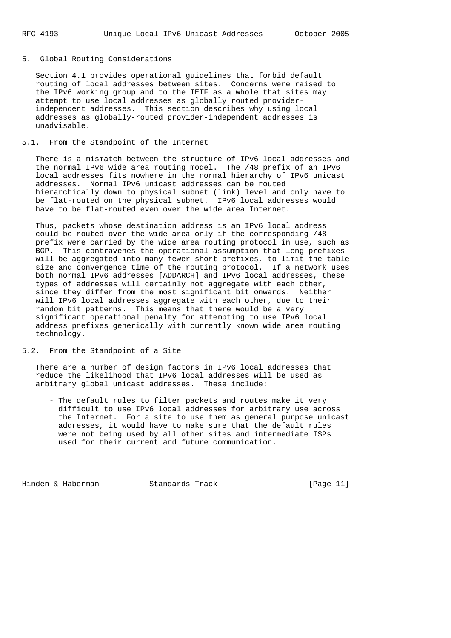## 5. Global Routing Considerations

 Section 4.1 provides operational guidelines that forbid default routing of local addresses between sites. Concerns were raised to the IPv6 working group and to the IETF as a whole that sites may attempt to use local addresses as globally routed provider independent addresses. This section describes why using local addresses as globally-routed provider-independent addresses is unadvisable.

## 5.1. From the Standpoint of the Internet

 There is a mismatch between the structure of IPv6 local addresses and the normal IPv6 wide area routing model. The /48 prefix of an IPv6 local addresses fits nowhere in the normal hierarchy of IPv6 unicast addresses. Normal IPv6 unicast addresses can be routed hierarchically down to physical subnet (link) level and only have to be flat-routed on the physical subnet. IPv6 local addresses would have to be flat-routed even over the wide area Internet.

 Thus, packets whose destination address is an IPv6 local address could be routed over the wide area only if the corresponding /48 prefix were carried by the wide area routing protocol in use, such as BGP. This contravenes the operational assumption that long prefixes will be aggregated into many fewer short prefixes, to limit the table size and convergence time of the routing protocol. If a network uses both normal IPv6 addresses [ADDARCH] and IPv6 local addresses, these types of addresses will certainly not aggregate with each other, since they differ from the most significant bit onwards. Neither will IPv6 local addresses aggregate with each other, due to their random bit patterns. This means that there would be a very significant operational penalty for attempting to use IPv6 local address prefixes generically with currently known wide area routing technology.

5.2. From the Standpoint of a Site

 There are a number of design factors in IPv6 local addresses that reduce the likelihood that IPv6 local addresses will be used as arbitrary global unicast addresses. These include:

 - The default rules to filter packets and routes make it very difficult to use IPv6 local addresses for arbitrary use across the Internet. For a site to use them as general purpose unicast addresses, it would have to make sure that the default rules were not being used by all other sites and intermediate ISPs used for their current and future communication.

Hinden & Haberman Standards Track [Page 11]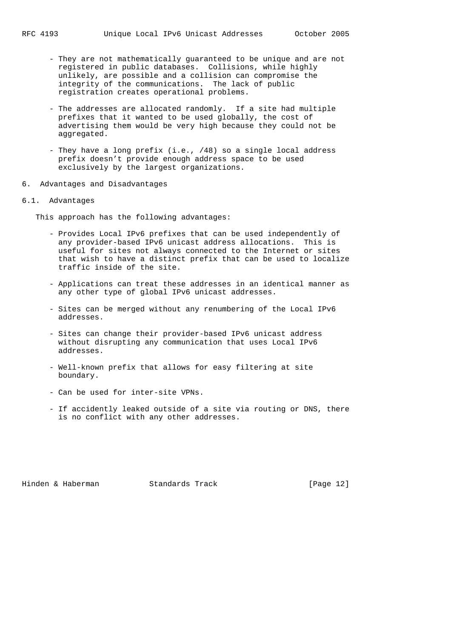- They are not mathematically guaranteed to be unique and are not registered in public databases. Collisions, while highly unlikely, are possible and a collision can compromise the integrity of the communications. The lack of public registration creates operational problems.
- The addresses are allocated randomly. If a site had multiple prefixes that it wanted to be used globally, the cost of advertising them would be very high because they could not be aggregated.
- They have a long prefix (i.e., /48) so a single local address prefix doesn't provide enough address space to be used exclusively by the largest organizations.
- 6. Advantages and Disadvantages

### 6.1. Advantages

This approach has the following advantages:

- Provides Local IPv6 prefixes that can be used independently of any provider-based IPv6 unicast address allocations. This is useful for sites not always connected to the Internet or sites that wish to have a distinct prefix that can be used to localize traffic inside of the site.
- Applications can treat these addresses in an identical manner as any other type of global IPv6 unicast addresses.
- Sites can be merged without any renumbering of the Local IPv6 addresses.
- Sites can change their provider-based IPv6 unicast address without disrupting any communication that uses Local IPv6 addresses.
- Well-known prefix that allows for easy filtering at site boundary.
- Can be used for inter-site VPNs.
- If accidently leaked outside of a site via routing or DNS, there is no conflict with any other addresses.

Hinden & Haberman Standards Track [Page 12]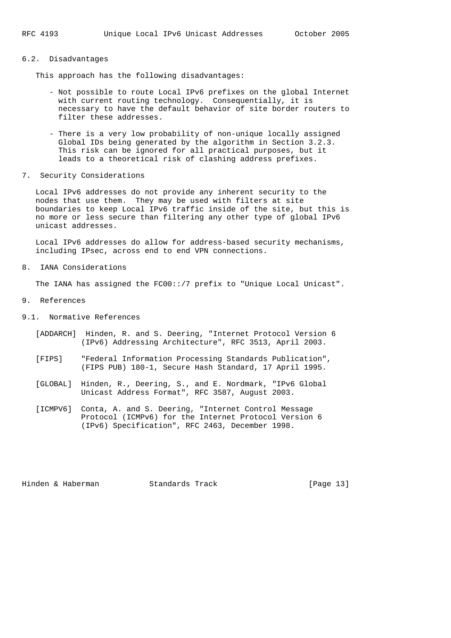### 6.2. Disadvantages

This approach has the following disadvantages:

- Not possible to route Local IPv6 prefixes on the global Internet with current routing technology. Consequentially, it is necessary to have the default behavior of site border routers to filter these addresses.
- There is a very low probability of non-unique locally assigned Global IDs being generated by the algorithm in Section 3.2.3. This risk can be ignored for all practical purposes, but it leads to a theoretical risk of clashing address prefixes.
- 7. Security Considerations

 Local IPv6 addresses do not provide any inherent security to the nodes that use them. They may be used with filters at site boundaries to keep Local IPv6 traffic inside of the site, but this is no more or less secure than filtering any other type of global IPv6 unicast addresses.

 Local IPv6 addresses do allow for address-based security mechanisms, including IPsec, across end to end VPN connections.

8. IANA Considerations

The IANA has assigned the FC00::/7 prefix to "Unique Local Unicast".

- 9. References
- 9.1. Normative References
	- [ADDARCH] Hinden, R. and S. Deering, "Internet Protocol Version 6 (IPv6) Addressing Architecture", RFC 3513, April 2003.
	- [FIPS] "Federal Information Processing Standards Publication", (FIPS PUB) 180-1, Secure Hash Standard, 17 April 1995.
	- [GLOBAL] Hinden, R., Deering, S., and E. Nordmark, "IPv6 Global Unicast Address Format", RFC 3587, August 2003.
	- [ICMPV6] Conta, A. and S. Deering, "Internet Control Message Protocol (ICMPv6) for the Internet Protocol Version 6 (IPv6) Specification", RFC 2463, December 1998.

Hinden & Haberman Standards Track [Page 13]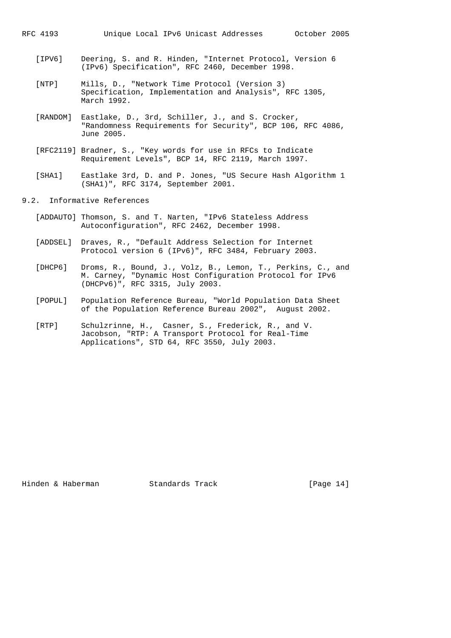- [IPV6] Deering, S. and R. Hinden, "Internet Protocol, Version 6 (IPv6) Specification", RFC 2460, December 1998.
- [NTP] Mills, D., "Network Time Protocol (Version 3) Specification, Implementation and Analysis", RFC 1305, March 1992.
- [RANDOM] Eastlake, D., 3rd, Schiller, J., and S. Crocker, "Randomness Requirements for Security", BCP 106, RFC 4086, June 2005.
- [RFC2119] Bradner, S., "Key words for use in RFCs to Indicate Requirement Levels", BCP 14, RFC 2119, March 1997.
- [SHA1] Eastlake 3rd, D. and P. Jones, "US Secure Hash Algorithm 1 (SHA1)", RFC 3174, September 2001.

9.2. Informative References

- [ADDAUTO] Thomson, S. and T. Narten, "IPv6 Stateless Address Autoconfiguration", RFC 2462, December 1998.
- [ADDSEL] Draves, R., "Default Address Selection for Internet Protocol version 6 (IPv6)", RFC 3484, February 2003.
- [DHCP6] Droms, R., Bound, J., Volz, B., Lemon, T., Perkins, C., and M. Carney, "Dynamic Host Configuration Protocol for IPv6 (DHCPv6)", RFC 3315, July 2003.
- [POPUL] Population Reference Bureau, "World Population Data Sheet of the Population Reference Bureau 2002", August 2002.
- [RTP] Schulzrinne, H., Casner, S., Frederick, R., and V. Jacobson, "RTP: A Transport Protocol for Real-Time Applications", STD 64, RFC 3550, July 2003.

Hinden & Haberman Standards Track [Page 14]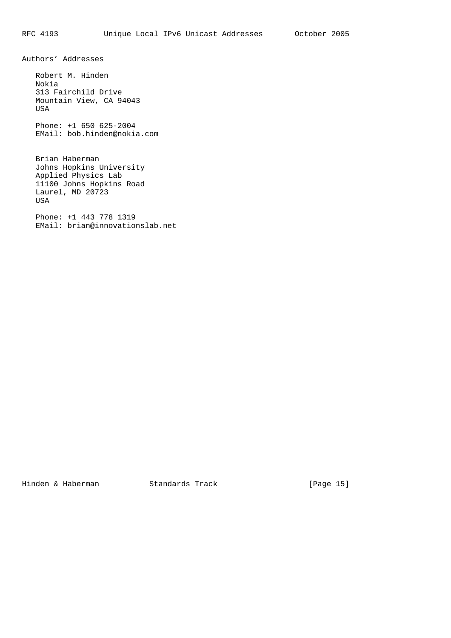Authors' Addresses

 Robert M. Hinden Nokia 313 Fairchild Drive Mountain View, CA 94043 USA

 Phone: +1 650 625-2004 EMail: bob.hinden@nokia.com

 Brian Haberman Johns Hopkins University Applied Physics Lab 11100 Johns Hopkins Road Laurel, MD 20723 USA

 Phone: +1 443 778 1319 EMail: brian@innovationslab.net

Hinden & Haberman Standards Track [Page 15]